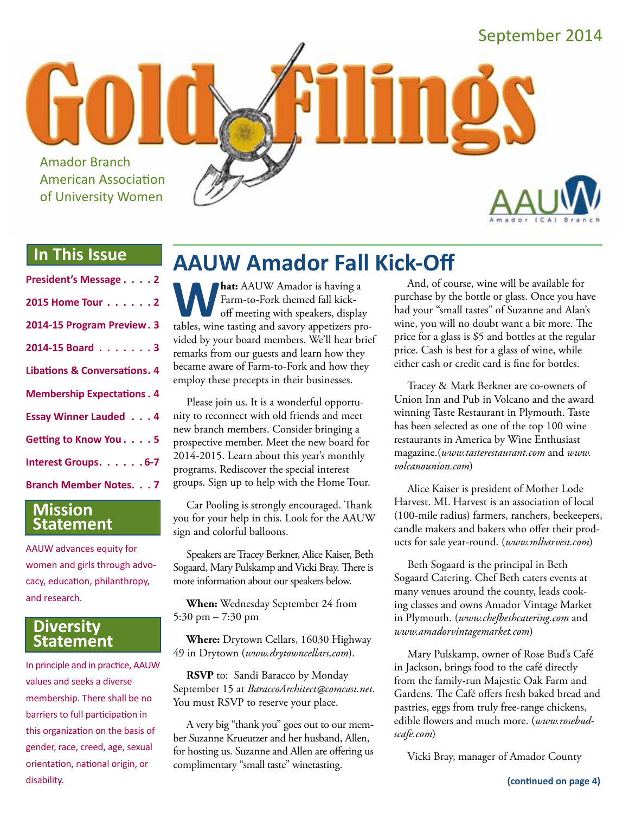

# **In This Issue**

| President's Message 2                   |
|-----------------------------------------|
| 2015 Home Tour 2                        |
| 2014-15 Program Preview. 3              |
| 2014-15 Board 3                         |
| <b>Libations &amp; Conversations. 4</b> |
| <b>Membership Expectations . 4</b>      |
| <b>Essay Winner Lauded 4</b>            |
| Getting to Know You. 5                  |
| Interest Groups. 6-7                    |
| <b>Branch Member Notes. 7</b>           |

### **Mission Statement**

AAUW advances equity for women and girls through advocacy, education, philanthropy, and research.

### **Diversity Statement**

In principle and in practice, AAUW values and seeks a diverse membership. There shall be no barriers to full participation in this organization on the basis of gender, race, creed, age, sexual orientation, national origin, or disability.

# **AAUW Amador Fall Kick-Off**

**What:** AAUW Amador is having a Farm-to-Fork themed fall kick-off meeting with speakers, display tables, wine tasting and savory appetizers pro-Farm-to-Fork themed fall kickoff meeting with speakers, display vided by your board members. We'll hear brief remarks from our guests and learn how they became aware of Farm-to-Fork and how they employ these precepts in their businesses.

Please join us. It is a wonderful opportunity to reconnect with old friends and meet new branch members. Consider bringing a prospective member. Meet the new board for 2014-2015. Learn about this year's monthly programs. Rediscover the special interest groups. Sign up to help with the Home Tour.

Car Pooling is strongly encouraged. Thank you for your help in this. Look for the AAUW sign and colorful balloons.

Speakers are Tracey Berkner, Alice Kaiser, Beth Sogaard, Mary Pulskamp and Vicki Bray. There is more information about our speakers below.

**When:** Wednesday September 24 from 5:30 pm – 7:30 pm

**Where:** Drytown Cellars, 16030 Highway 49 in Drytown (*www.drytowncellars,com*).

**RSVP** to: Sandi Baracco by Monday September 15 at *BaraccoArchitect@comcast.net*. You must RSVP to reserve your place.

A very big "thank you" goes out to our member Suzanne Krueutzer and her husband, Allen, for hosting us. Suzanne and Allen are offering us complimentary "small taste" winetasting.

And, of course, wine will be available for purchase by the bottle or glass. Once you have had your "small tastes" of Suzanne and Alan's wine, you will no doubt want a bit more. The price for a glass is \$5 and bottles at the regular price. Cash is best for a glass of wine, while either cash or credit card is fine for bottles.

Tracey & Mark Berkner are co-owners of Union Inn and Pub in Volcano and the award winning Taste Restaurant in Plymouth. Taste has been selected as one of the top 100 wine restaurants in America by Wine Enthusiast magazine.(*www.tasterestaurant.com* and *www. volcanounion.com*)

Alice Kaiser is president of Mother Lode Harvest. ML Harvest is an association of local (100-mile radius) farmers, ranchers, beekeepers, candle makers and bakers who offer their products for sale year-round. (*www.mlharvest.com*)

Beth Sogaard is the principal in Beth Sogaard Catering. Chef Beth caters events at many venues around the county, leads cooking classes and owns Amador Vintage Market in Plymouth. (*www.chefbethcatering.com* and *www.amadorvintagemarket.com*)

Mary Pulskamp, owner of Rose Bud's Café in Jackson, brings food to the café directly from the family-run Majestic Oak Farm and Gardens. The Café offers fresh baked bread and pastries, eggs from truly free-range chickens, edible flowers and much more. (*www.rosebudscafe.com*)

Vicki Bray, manager of Amador County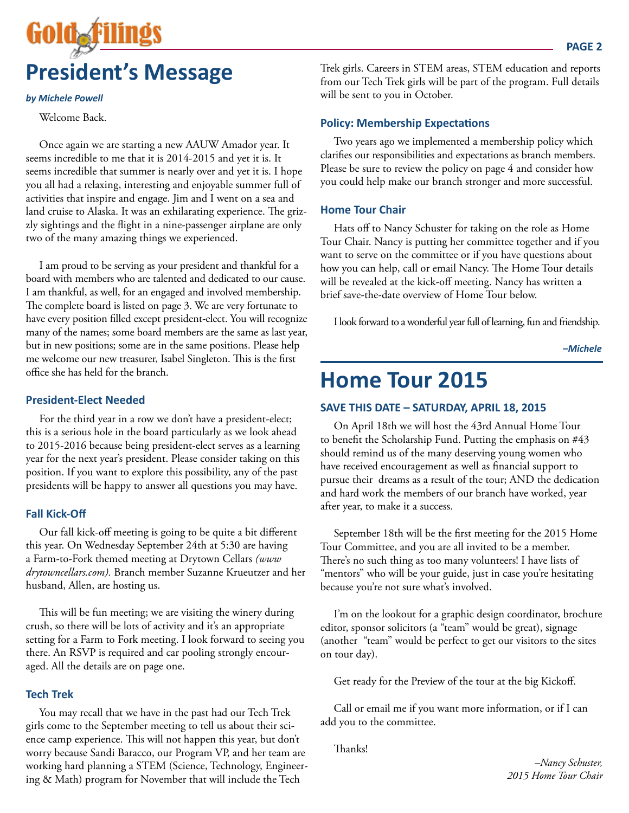

#### *by Michele Powell*

Welcome Back.

Once again we are starting a new AAUW Amador year. It seems incredible to me that it is 2014-2015 and yet it is. It seems incredible that summer is nearly over and yet it is. I hope you all had a relaxing, interesting and enjoyable summer full of activities that inspire and engage. Jim and I went on a sea and land cruise to Alaska. It was an exhilarating experience. The grizzly sightings and the flight in a nine-passenger airplane are only two of the many amazing things we experienced.

I am proud to be serving as your president and thankful for a board with members who are talented and dedicated to our cause. I am thankful, as well, for an engaged and involved membership. The complete board is listed on page 3. We are very fortunate to have every position filled except president-elect. You will recognize many of the names; some board members are the same as last year, but in new positions; some are in the same positions. Please help me welcome our new treasurer, Isabel Singleton. This is the first office she has held for the branch.

#### **President-Elect Needed**

For the third year in a row we don't have a president-elect; this is a serious hole in the board particularly as we look ahead to 2015-2016 because being president-elect serves as a learning year for the next year's president. Please consider taking on this position. If you want to explore this possibility, any of the past presidents will be happy to answer all questions you may have.

#### **Fall Kick-Off**

Our fall kick-off meeting is going to be quite a bit different this year. On Wednesday September 24th at 5:30 are having a Farm-to-Fork themed meeting at Drytown Cellars *(www drytowncellars.com).* Branch member Suzanne Krueutzer and her husband, Allen, are hosting us.

This will be fun meeting; we are visiting the winery during crush, so there will be lots of activity and it's an appropriate setting for a Farm to Fork meeting. I look forward to seeing you there. An RSVP is required and car pooling strongly encouraged. All the details are on page one.

#### **Tech Trek**

You may recall that we have in the past had our Tech Trek girls come to the September meeting to tell us about their science camp experience. This will not happen this year, but don't worry because Sandi Baracco, our Program VP, and her team are working hard planning a STEM (Science, Technology, Engineering & Math) program for November that will include the Tech

Trek girls. Careers in STEM areas, STEM education and reports from our Tech Trek girls will be part of the program. Full details will be sent to you in October.

#### **Policy: Membership Expectations**

Two years ago we implemented a membership policy which clarifies our responsibilities and expectations as branch members. Please be sure to review the policy on page 4 and consider how you could help make our branch stronger and more successful.

#### **Home Tour Chair**

Hats off to Nancy Schuster for taking on the role as Home Tour Chair. Nancy is putting her committee together and if you want to serve on the committee or if you have questions about how you can help, call or email Nancy. The Home Tour details will be revealed at the kick-off meeting. Nancy has written a brief save-the-date overview of Home Tour below.

I look forward to a wonderful year full of learning, fun and friendship.

*–Michele*

# **Home Tour 2015**

#### **SAVE THIS DATE – SATURDAY, APRIL 18, 2015**

On April 18th we will host the 43rd Annual Home Tour to benefit the Scholarship Fund. Putting the emphasis on #43 should remind us of the many deserving young women who have received encouragement as well as financial support to pursue their dreams as a result of the tour; AND the dedication and hard work the members of our branch have worked, year after year, to make it a success.

September 18th will be the first meeting for the 2015 Home Tour Committee, and you are all invited to be a member. There's no such thing as too many volunteers! I have lists of "mentors" who will be your guide, just in case you're hesitating because you're not sure what's involved.

I'm on the lookout for a graphic design coordinator, brochure editor, sponsor solicitors (a "team" would be great), signage (another "team" would be perfect to get our visitors to the sites on tour day).

Get ready for the Preview of the tour at the big Kickoff.

Call or email me if you want more information, or if I can add you to the committee.

Thanks!

*–Nancy Schuster, 2015 Home Tour Chair*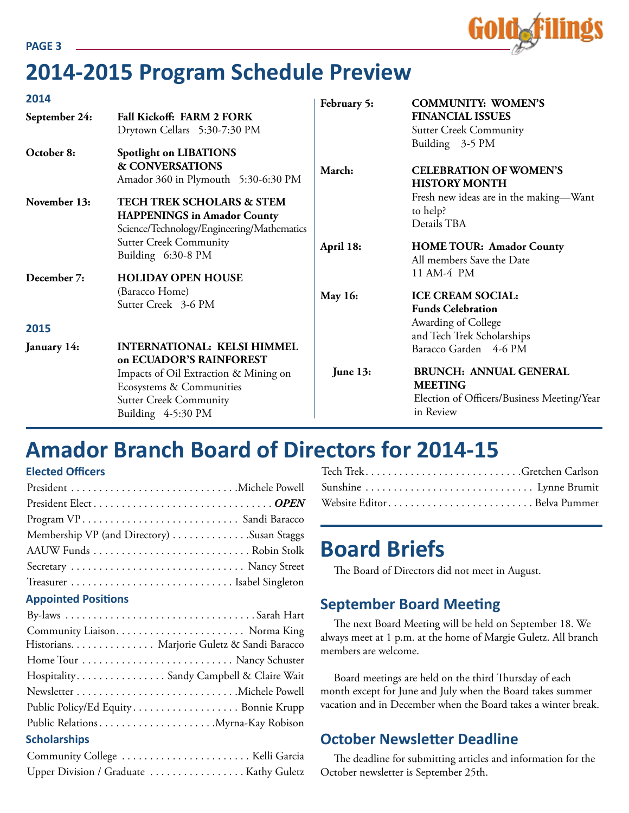

# **2014-2015 Program Schedule Preview**

| 2014          |                                                                                                                          | February 5:    | <b>COMMUNITY: WOMEN'S</b>                                                                                  |
|---------------|--------------------------------------------------------------------------------------------------------------------------|----------------|------------------------------------------------------------------------------------------------------------|
| September 24: | Fall Kickoff: FARM 2 FORK<br>Drytown Cellars 5:30-7:30 PM                                                                |                | <b>FINANCIAL ISSUES</b><br><b>Sutter Creek Community</b>                                                   |
| October 8:    | <b>Spotlight on LIBATIONS</b><br><b>&amp; CONVERSATIONS</b><br>Amador 360 in Plymouth 5:30-6:30 PM                       | March:         | Building 3-5 PM<br><b>CELEBRATION OF WOMEN'S</b><br><b>HISTORY MONTH</b>                                   |
| November 13:  | <b>TECH TREK SCHOLARS &amp; STEM</b><br><b>HAPPENINGS</b> in Amador County<br>Science/Technology/Engineering/Mathematics |                | Fresh new ideas are in the making-Want<br>to help?<br>Details TBA                                          |
| December 7:   | <b>Sutter Creek Community</b><br>Building 6:30-8 PM<br><b>HOLIDAY OPEN HOUSE</b>                                         | April 18:      | <b>HOME TOUR: Amador County</b><br>All members Save the Date<br>11 AM-4 PM                                 |
|               | (Baracco Home)<br>Sutter Creek 3-6 PM                                                                                    | <b>May 16:</b> | <b>ICE CREAM SOCIAL:</b><br><b>Funds Celebration</b><br>Awarding of College                                |
| 2015          |                                                                                                                          |                | and Tech Trek Scholarships                                                                                 |
| January 14:   | <b>INTERNATIONAL: KELSI HIMMEL</b><br>on ECUADOR'S RAINFOREST                                                            |                | Baracco Garden 4-6 PM                                                                                      |
|               | Impacts of Oil Extraction & Mining on<br>Ecosystems & Communities<br><b>Sutter Creek Community</b><br>Building 4-5:30 PM | June 13:       | <b>BRUNCH: ANNUAL GENERAL</b><br><b>MEETING</b><br>Election of Officers/Business Meeting/Year<br>in Review |

# **Amador Branch Board of Directors for 2014-15**

#### **Elected Officers**

| Membership VP (and Directory) Susan Staggs |  |
|--------------------------------------------|--|
|                                            |  |
| Secretary  Nancy Street                    |  |
|                                            |  |
| <b>Appointed Positions</b>                 |  |
|                                            |  |
|                                            |  |
|                                            |  |

| Historians. Marjorie Guletz & Sandi Baracco |
|---------------------------------------------|
|                                             |
| Hospitality Sandy Campbell & Claire Wait    |
|                                             |
| Public Policy/Ed Equity Bonnie Krupp        |
|                                             |
| <b>Scholarships</b>                         |
| Community College  Kelli Garcia             |
| Upper Division / Graduate  Kathy Guletz     |

| Website EditorBelva Pummer |  |
|----------------------------|--|

# **Board Briefs**

The Board of Directors did not meet in August.

## **September Board Meeting**

The next Board Meeting will be held on September 18. We always meet at 1 p.m. at the home of Margie Guletz. All branch members are welcome.

Board meetings are held on the third Thursday of each month except for June and July when the Board takes summer vacation and in December when the Board takes a winter break.

## **October Newsletter Deadline**

The deadline for submitting articles and information for the October newsletter is September 25th.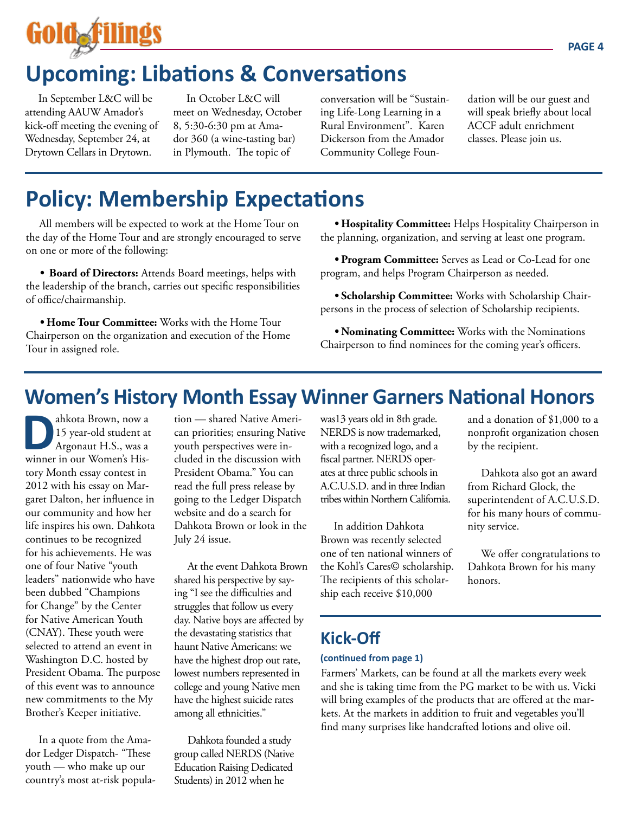

# **Upcoming: Libations & Conversations**

In September L&C will be attending AAUW Amador's kick-off meeting the evening of Wednesday, September 24, at Drytown Cellars in Drytown.

In October L&C will meet on Wednesday, October 8, 5:30-6:30 pm at Amador 360 (a wine-tasting bar) in Plymouth. The topic of

conversation will be "Sustaining Life-Long Learning in a Rural Environment". Karen Dickerson from the Amador Community College Foundation will be our guest and will speak briefly about local ACCF adult enrichment classes. Please join us.

# **Policy: Membership Expectations**

All members will be expected to work at the Home Tour on the day of the Home Tour and are strongly encouraged to serve on one or more of the following:

*•* **Board of Directors:** Attends Board meetings, helps with the leadership of the branch, carries out specific responsibilities of office/chairmanship.

*•* **Home Tour Committee:** Works with the Home Tour Chairperson on the organization and execution of the Home Tour in assigned role.

*•* **Hospitality Committee:** Helps Hospitality Chairperson in the planning, organization, and serving at least one program.

*•* **Program Committee:** Serves as Lead or Co-Lead for one program, and helps Program Chairperson as needed.

*•* **Scholarship Committee:** Works with Scholarship Chairpersons in the process of selection of Scholarship recipients.

*•* **Nominating Committee:** Works with the Nominations Chairperson to find nominees for the coming year's officers.

# **Women's History Month Essay Winner Garners National Honors**

**D**ahkota Brown, now a<br>15 year-old student at<br>Argonaut H.S., was a<br>winner in our Women's His-15 year-old student at Argonaut H.S., was a winner in our Women's History Month essay contest in 2012 with his essay on Margaret Dalton, her influence in our community and how her life inspires his own. Dahkota continues to be recognized for his achievements. He was one of four Native "youth leaders" nationwide who have been dubbed "Champions for Change" by the Center for Native American Youth (CNAY). These youth were selected to attend an event in Washington D.C. hosted by President Obama. The purpose of this event was to announce new commitments to the My Brother's Keeper initiative.

In a quote from the Amador Ledger Dispatch- "These youth — who make up our country's most at-risk population — shared Native American priorities; ensuring Native youth perspectives were included in the discussion with President Obama." You can read the full press release by going to the Ledger Dispatch website and do a search for Dahkota Brown or look in the July 24 issue.

At the event Dahkota Brown shared his perspective by saying "I see the difficulties and struggles that follow us every day. Native boys are affected by the devastating statistics that haunt Native Americans: we have the highest drop out rate, lowest numbers represented in college and young Native men have the highest suicide rates among all ethnicities."

Dahkota founded a study group called NERDS (Native Education Raising Dedicated Students) in 2012 when he

was13 years old in 8th grade. NERDS is now trademarked, with a recognized logo, and a fiscal partner. NERDS operates at three public schools in A.C.U.S.D. and in three Indian tribes within Northern California.

In addition Dahkota Brown was recently selected one of ten national winners of the Kohl's Cares© scholarship. The recipients of this scholarship each receive \$10,000

and a donation of \$1,000 to a nonprofit organization chosen by the recipient.

Dahkota also got an award from Richard Glock, the superintendent of A.C.U.S.D. for his many hours of community service.

We offer congratulations to Dahkota Brown for his many honors.

# **Kick-Off**

#### **(continued from page 1)**

Farmers' Markets, can be found at all the markets every week and she is taking time from the PG market to be with us. Vicki will bring examples of the products that are offered at the markets. At the markets in addition to fruit and vegetables you'll find many surprises like handcrafted lotions and olive oil.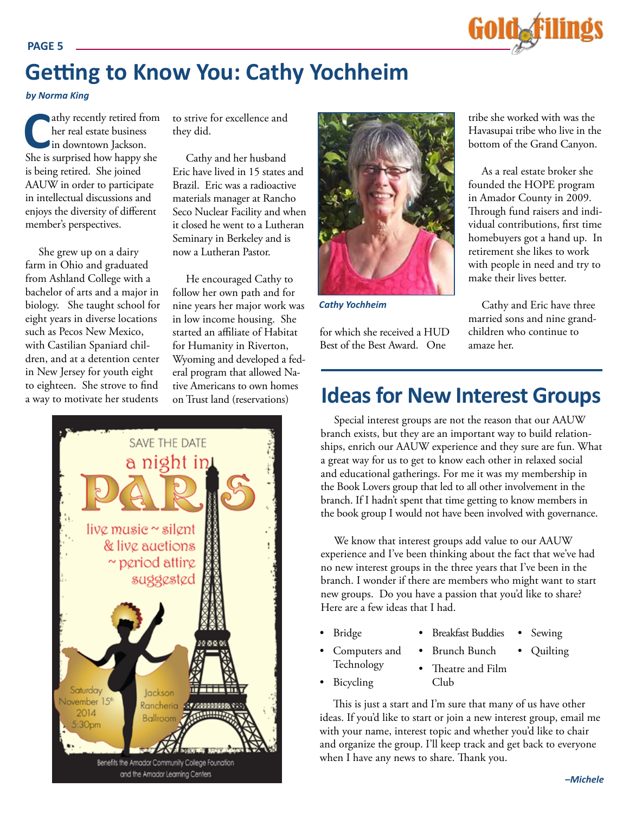# Gold**afilings**

# **Getting to Know You: Cathy Yochheim**

*by Norma King*

**Cathy recently retired from** her real estate business in downtown Jackson. She is surprised how happy she is being retired. She joined AAUW in order to participate in intellectual discussions and enjoys the diversity of different member's perspectives.

She grew up on a dairy farm in Ohio and graduated from Ashland College with a bachelor of arts and a major in biology. She taught school for eight years in diverse locations such as Pecos New Mexico, with Castilian Spaniard children, and at a detention center in New Jersey for youth eight to eighteen. She strove to find a way to motivate her students

to strive for excellence and they did.

Cathy and her husband Eric have lived in 15 states and Brazil. Eric was a radioactive materials manager at Rancho Seco Nuclear Facility and when it closed he went to a Lutheran Seminary in Berkeley and is now a Lutheran Pastor.

He encouraged Cathy to follow her own path and for nine years her major work was in low income housing. She started an affiliate of Habitat for Humanity in Riverton, Wyoming and developed a federal program that allowed Native Americans to own homes on Trust land (reservations)





*Cathy Yochheim*

for which she received a HUD Best of the Best Award. One

tribe she worked with was the Havasupai tribe who live in the bottom of the Grand Canyon.

As a real estate broker she founded the HOPE program in Amador County in 2009. Through fund raisers and individual contributions, first time homebuyers got a hand up. In retirement she likes to work with people in need and try to make their lives better.

Cathy and Eric have three married sons and nine grandchildren who continue to amaze her.

# **Ideas for New Interest Groups**

Special interest groups are not the reason that our AAUW branch exists, but they are an important way to build relationships, enrich our AAUW experience and they sure are fun. What a great way for us to get to know each other in relaxed social and educational gatherings. For me it was my membership in the Book Lovers group that led to all other involvement in the branch. If I hadn't spent that time getting to know members in the book group I would not have been involved with governance.

We know that interest groups add value to our AAUW experience and I've been thinking about the fact that we've had no new interest groups in the three years that I've been in the branch. I wonder if there are members who might want to start new groups. Do you have a passion that you'd like to share? Here are a few ideas that I had.

- • Bridge
- • Breakfast Buddies Sewing

**Quilting** 

- Computers and Technology
- **Brunch Bunch** • Theatre and Film
- • Bicycling
- Club

This is just a start and I'm sure that many of us have other ideas. If you'd like to start or join a new interest group, email me with your name, interest topic and whether you'd like to chair and organize the group. I'll keep track and get back to everyone when I have any news to share. Thank you.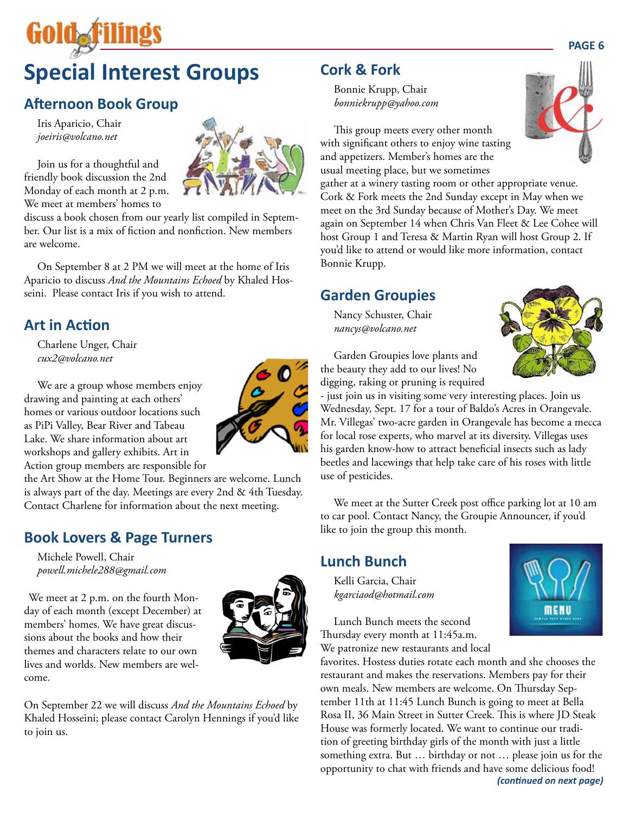# **Special Interest Groups**

# **Afternoon Book Group**

Iris Aparicio, Chair *joeiris@volcano.net*

Join us for a thoughtful and friendly book discussion the 2nd Monday of each month at 2 p.m. We meet at members' homes to

discuss a book chosen from our yearly list compiled in September. Our list is a mix of fiction and nonfiction. New members are welcome.

On September 8 at 2 PM we will meet at the home of Iris Aparicio to discuss *And the Mountains Echoed* by Khaled Hosseini. Please contact Iris if you wish to attend.

## **Art in Action**

Charlene Unger, Chair *cux2@volcano.net*

We are a group whose members enjoy drawing and painting at each others' homes or various outdoor locations such as PiPi Valley, Bear River and Tabeau Lake. We share information about art workshops and gallery exhibits. Art in Action group members are responsible for

the Art Show at the Home Tour. Beginners are welcome. Lunch is always part of the day. Meetings are every 2nd & 4th Tuesday. Contact Charlene for information about the next meeting.

## **Book Lovers & Page Turners**

Michele Powell, Chair *powell.michele288@gmail.com*

We meet at 2 p.m. on the fourth Monday of each month (except December) at members' homes. We have great discussions about the books and how their themes and characters relate to our own lives and worlds. New members are welcome.



On September 22 we will discuss *And the Mountains Echoed* by Khaled Hosseini; please contact Carolyn Hennings if you'd like to join us.

# **Cork & Fork**

Bonnie Krupp, Chair *bonniekrupp@yahoo.com*



This group meets every other month with significant others to enjoy wine tasting and appetizers. Member's homes are the usual meeting place, but we sometimes

gather at a winery tasting room or other appropriate venue. Cork & Fork meets the 2nd Sunday except in May when we meet on the 3rd Sunday because of Mother's Day. We meet again on September 14 when Chris Van Fleet & Lee Cohee will host Group 1 and Teresa & Martin Ryan will host Group 2. If you'd like to attend or would like more information, contact Bonnie Krupp.

## **Garden Groupies**

Nancy Schuster, Chair *nancys@volcano.net*



Garden Groupies love plants and the beauty they add to our lives! No digging, raking or pruning is required

- just join us in visiting some very interesting places. Join us Wednesday, Sept. 17 for a tour of Baldo's Acres in Orangevale. Mr. Villegas' two-acre garden in Orangevale has become a mecca for local rose experts, who marvel at its diversity. Villegas uses his garden know-how to attract beneficial insects such as lady beetles and lacewings that help take care of his roses with little use of pesticides.

We meet at the Sutter Creek post office parking lot at 10 am to car pool. Contact Nancy, the Groupie Announcer, if you'd like to join the group this month.

## **Lunch Bunch**

Kelli Garcia, Chair *kgarciaod@hotmail.com*



Lunch Bunch meets the second Thursday every month at 11:45a.m. We patronize new restaurants and local

favorites. Hostess duties rotate each month and she chooses the restaurant and makes the reservations. Members pay for their own meals. New members are welcome. On Thursday September 11th at 11:45 Lunch Bunch is going to meet at Bella Rosa II, 36 Main Street in Sutter Creek. This is where JD Steak House was formerly located. We want to continue our tradition of greeting birthday girls of the month with just a little something extra. But … birthday or not … please join us for the opportunity to chat with friends and have some delicious food! *(continued on next page)*